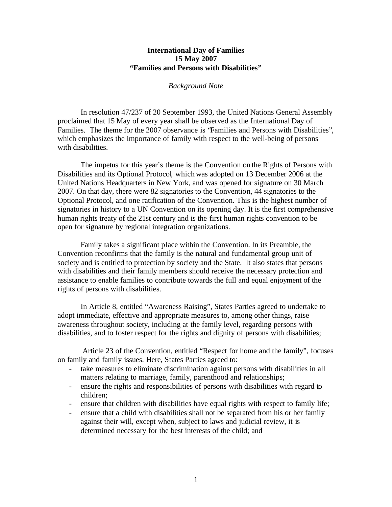## **International Day of Families 15 May 2007 "Families and Persons with Disabilities"**

## *Background Note*

In resolution 47/237 of 20 September 1993, the United Nations General Assembly proclaimed that 15 May of every year shall be observed as the International Day of Families. The theme for the 2007 observance is "Families and Persons with Disabilities", which emphasizes the importance of family with respect to the well-being of persons with disabilities.

The impetus for this year's theme is the Convention on the Rights of Persons with Disabilities and its Optional Protocol, which was adopted on 13 December 2006 at the United Nations Headquarters in New York, and was opened for signature on 30 March 2007. On that day, there were 82 signatories to the Convention, 44 signatories to the Optional Protocol, and one ratification of the Convention. This is the highest number of signatories in history to a UN Convention on its opening day. It is the first comprehensive human rights treaty of the 21st century and is the first human rights convention to be open for signature by regional integration organizations.

Family takes a significant place within the Convention. In its Preamble, the Convention reconfirms that the family is the natural and fundamental group unit of society and is entitled to protection by society and the State. It also states that persons with disabilities and their family members should receive the necessary protection and assistance to enable families to contribute towards the full and equal enjoyment of the rights of persons with disabilities.

In Article 8, entitled "Awareness Raising", States Parties agreed to undertake to adopt immediate, effective and appropriate measures to, among other things*,* raise awareness throughout society, including at the family level, regarding persons with disabilities, and to foster respect for the rights and dignity of persons with disabilities;

Article 23 of the Convention, entitled "Respect for home and the family", focuses on family and family issues. Here, States Parties agreed to:

- take measures to eliminate discrimination against persons with disabilities in all matters relating to marriage, family, parenthood and relationships;
- ensure the rights and responsibilities of persons with disabilities with regard to children;
- ensure that children with disabilities have equal rights with respect to family life;
- ensure that a child with disabilities shall not be separated from his or her family against their will, except when, subject to laws and judicial review, it is determined necessary for the best interests of the child; and